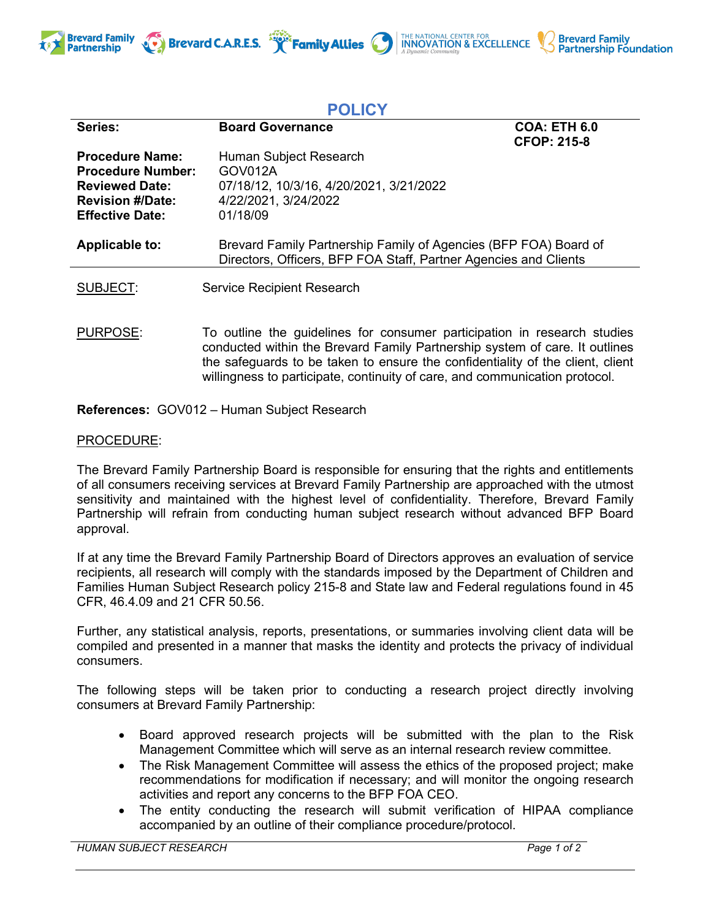



THE NATIONAL CENTER FOR **INNOVATION & EXCELLENCE** 

**Brevard Family** 

**Partnership Foundation** 

Brevard C.A.R.E.S. **Framily Allies** 

PURPOSE: To outline the guidelines for consumer participation in research studies conducted within the Brevard Family Partnership system of care. It outlines the safeguards to be taken to ensure the confidentiality of the client, client willingness to participate, continuity of care, and communication protocol.

**References:** GOV012 – Human Subject Research

## PROCEDURE:

The Brevard Family Partnership Board is responsible for ensuring that the rights and entitlements of all consumers receiving services at Brevard Family Partnership are approached with the utmost sensitivity and maintained with the highest level of confidentiality. Therefore, Brevard Family Partnership will refrain from conducting human subject research without advanced BFP Board approval.

If at any time the Brevard Family Partnership Board of Directors approves an evaluation of service recipients, all research will comply with the standards imposed by the Department of Children and Families Human Subject Research policy 215-8 and State law and Federal regulations found in 45 CFR, 46.4.09 and 21 CFR 50.56.

Further, any statistical analysis, reports, presentations, or summaries involving client data will be compiled and presented in a manner that masks the identity and protects the privacy of individual consumers.

The following steps will be taken prior to conducting a research project directly involving consumers at Brevard Family Partnership:

- Board approved research projects will be submitted with the plan to the Risk Management Committee which will serve as an internal research review committee.
- The Risk Management Committee will assess the ethics of the proposed project; make recommendations for modification if necessary; and will monitor the ongoing research activities and report any concerns to the BFP FOA CEO.
- The entity conducting the research will submit verification of HIPAA compliance accompanied by an outline of their compliance procedure/protocol.